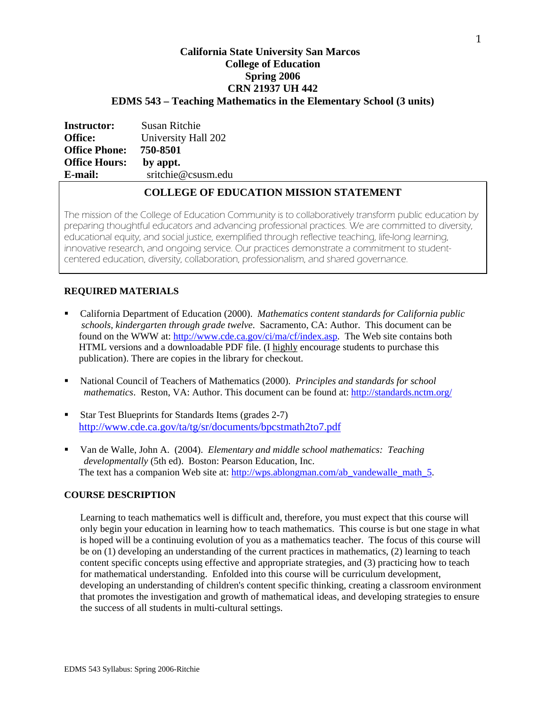# **California State University San Marcos College of Education Spring 2006 CRN 21937 UH 442 EDMS 543 – Teaching Mathematics in the Elementary School (3 units)**

| <b>Instructor:</b>   | <b>Susan Ritchie</b> |
|----------------------|----------------------|
| Office:              | University Hall 202  |
| <b>Office Phone:</b> | 750-8501             |
| <b>Office Hours:</b> | by appt.             |
| E-mail:              | sritchie@csusm.edu   |
|                      |                      |

## **COLLEGE OF EDUCATION MISSION STATEMENT**

The mission of the College of Education Community is to collaboratively transform public education by preparing thoughtful educators and advancing professional practices. We are committed to diversity, educational equity, and social justice, exemplified through reflective teaching, life-long learning, innovative research, and ongoing service. Our practices demonstrate a commitment to studentcentered education, diversity, collaboration, professionalism, and shared governance.

### **REQUIRED MATERIALS**

- California Department of Education (2000). *Mathematics content standards for California public schools, kindergarten through grade twelve*. Sacramento, CA: Author. This document can be found on the WWW at: http://www.cde.ca.gov/ci/ma/cf/index.asp. The Web site contains both HTML versions and a downloadable PDF file. (I highly encourage students to purchase this publication). There are copies in the library for checkout.
- National Council of Teachers of Mathematics (2000). *Principles and standards for school mathematics*. Reston, VA: Author. This document can be found at: http://standards.nctm.org/
- Star Test Blueprints for Standards Items (grades 2-7) http://www.cde.ca.gov/ta/tg/sr/documents/bpcstmath2to7.pdf
- Van de Walle, John A. (2004). *Elementary and middle school mathematics: Teaching developmentally* (5th ed). Boston: Pearson Education, Inc. The text has a companion Web site at: http://wps.ablongman.com/ab\_vandewalle\_math\_5.

### **COURSE DESCRIPTION**

Learning to teach mathematics well is difficult and, therefore, you must expect that this course will only begin your education in learning how to teach mathematics. This course is but one stage in what is hoped will be a continuing evolution of you as a mathematics teacher. The focus of this course will be on (1) developing an understanding of the current practices in mathematics, (2) learning to teach content specific concepts using effective and appropriate strategies, and (3) practicing how to teach for mathematical understanding. Enfolded into this course will be curriculum development, developing an understanding of children's content specific thinking, creating a classroom environment that promotes the investigation and growth of mathematical ideas, and developing strategies to ensure the success of all students in multi-cultural settings.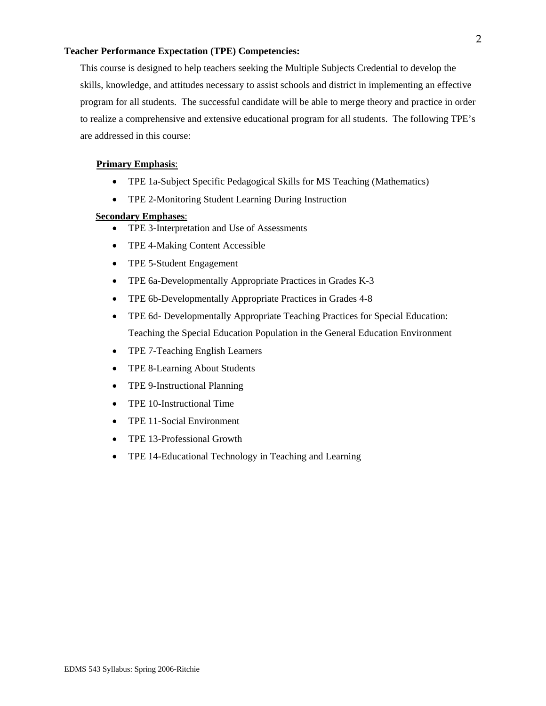#### **Teacher Performance Expectation (TPE) Competencies:**

This course is designed to help teachers seeking the Multiple Subjects Credential to develop the skills, knowledge, and attitudes necessary to assist schools and district in implementing an effective program for all students. The successful candidate will be able to merge theory and practice in order to realize a comprehensive and extensive educational program for all students. The following TPE's are addressed in this course:

#### **Primary Emphasis**:

- TPE 1a-Subject Specific Pedagogical Skills for MS Teaching (Mathematics)
- TPE 2-Monitoring Student Learning During Instruction

### **Secondary Emphases**:

- TPE 3-Interpretation and Use of Assessments
- TPE 4-Making Content Accessible
- TPE 5-Student Engagement
- TPE 6a-Developmentally Appropriate Practices in Grades K-3
- TPE 6b-Developmentally Appropriate Practices in Grades 4-8
- TPE 6d- Developmentally Appropriate Teaching Practices for Special Education: Teaching the Special Education Population in the General Education Environment
- TPE 7-Teaching English Learners
- TPE 8-Learning About Students
- TPE 9-Instructional Planning
- TPE 10-Instructional Time
- TPE 11-Social Environment
- TPE 13-Professional Growth
- TPE 14-Educational Technology in Teaching and Learning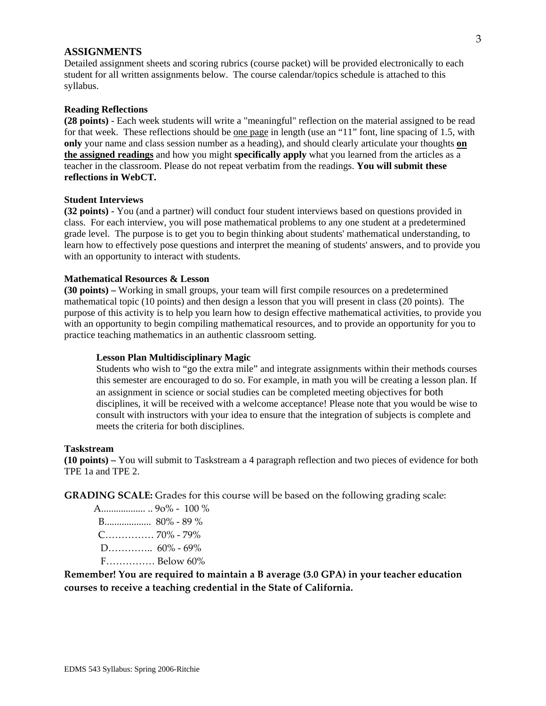#### **ASSIGNMENTS**

Detailed assignment sheets and scoring rubrics (course packet) will be provided electronically to each student for all written assignments below. The course calendar/topics schedule is attached to this syllabus.

#### **Reading Reflections**

**(28 points)** - Each week students will write a "meaningful" reflection on the material assigned to be read for that week. These reflections should be <u>one page</u> in length (use an "11" font, line spacing of 1.5, with **only** your name and class session number as a heading), and should clearly articulate your thoughts **on the assigned readings** and how you might **specifically apply** what you learned from the articles as a teacher in the classroom. Please do not repeat verbatim from the readings. **You will submit these reflections in WebCT.** 

#### **Student Interviews**

**(32 points)** - You (and a partner) will conduct four student interviews based on questions provided in class. For each interview, you will pose mathematical problems to any one student at a predetermined grade level. The purpose is to get you to begin thinking about students' mathematical understanding, to learn how to effectively pose questions and interpret the meaning of students' answers, and to provide you with an opportunity to interact with students.

### **Mathematical Resources & Lesson**

**(30 points) –** Working in small groups, your team will first compile resources on a predetermined mathematical topic (10 points) and then design a lesson that you will present in class (20 points). The purpose of this activity is to help you learn how to design effective mathematical activities, to provide you with an opportunity to begin compiling mathematical resources, and to provide an opportunity for you to practice teaching mathematics in an authentic classroom setting.

### **Lesson Plan Multidisciplinary Magic**

Students who wish to "go the extra mile" and integrate assignments within their methods courses this semester are encouraged to do so. For example, in math you will be creating a lesson plan. If an assignment in science or social studies can be completed meeting objectives for both disciplines, it will be received with a welcome acceptance! Please note that you would be wise to consult with instructors with your idea to ensure that the integration of subjects is complete and meets the criteria for both disciplines.

#### **Taskstream**

**(10 points) –** You will submit to Taskstream a 4 paragraph reflection and two pieces of evidence for both TPE 1a and TPE 2.

**GRADING SCALE:** Grades for this course will be based on the following grading scale:

 A.................. .. 9o% ‐ 100 % B................... 80% ‐ 89 % C…………… 70% ‐ 79% D…………..  $60\% - 69\%$ F…………… Below 60%

**Remember! You are required to maintain a B average (3.0 GPA) in your teacher education courses to receive a teaching credential in the State of California.**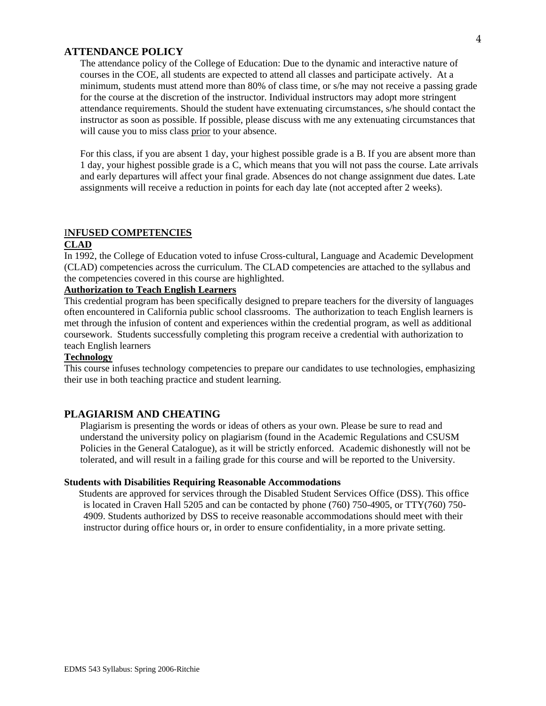### **ATTENDANCE POLICY**

The attendance policy of the College of Education: Due to the dynamic and interactive nature of courses in the COE, all students are expected to attend all classes and participate actively. At a minimum, students must attend more than 80% of class time, or s/he may not receive a passing grade for the course at the discretion of the instructor. Individual instructors may adopt more stringent attendance requirements. Should the student have extenuating circumstances, s/he should contact the instructor as soon as possible. If possible, please discuss with me any extenuating circumstances that will cause you to miss class prior to your absence.

For this class, if you are absent 1 day, your highest possible grade is a B. If you are absent more than 1 day, your highest possible grade is a C, which means that you will not pass the course. Late arrivals and early departures will affect your final grade. Absences do not change assignment due dates. Late assignments will receive a reduction in points for each day late (not accepted after 2 weeks).

### I**NFUSED COMPETENCIES**

#### **CLAD**

In 1992, the College of Education voted to infuse Cross-cultural, Language and Academic Development (CLAD) competencies across the curriculum. The CLAD competencies are attached to the syllabus and the competencies covered in this course are highlighted.

# **Authorization to Teach English Learners**

This credential program has been specifically designed to prepare teachers for the diversity of languages often encountered in California public school classrooms. The authorization to teach English learners is met through the infusion of content and experiences within the credential program, as well as additional coursework. Students successfully completing this program receive a credential with authorization to teach English learners

#### **Technology**

This course infuses technology competencies to prepare our candidates to use technologies, emphasizing their use in both teaching practice and student learning.

### **PLAGIARISM AND CHEATING**

Plagiarism is presenting the words or ideas of others as your own. Please be sure to read and understand the university policy on plagiarism (found in the Academic Regulations and CSUSM Policies in the General Catalogue), as it will be strictly enforced. Academic dishonestly will not be tolerated, and will result in a failing grade for this course and will be reported to the University.

#### **Students with Disabilities Requiring Reasonable Accommodations**

 Students are approved for services through the Disabled Student Services Office (DSS). This office is located in Craven Hall 5205 and can be contacted by phone (760) 750-4905, or TTY(760) 750- 4909. Students authorized by DSS to receive reasonable accommodations should meet with their instructor during office hours or, in order to ensure confidentiality, in a more private setting.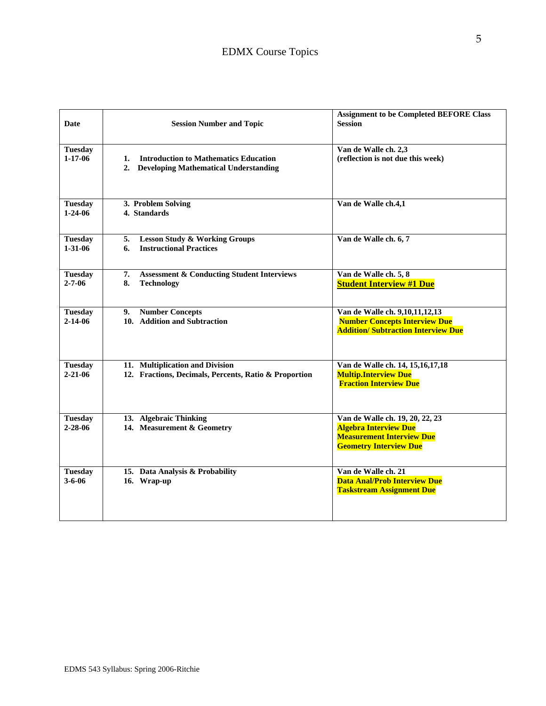| Date                            | <b>Session Number and Topic</b>                                                                | <b>Assignment to be Completed BEFORE Class</b><br><b>Session</b>                                                                     |
|---------------------------------|------------------------------------------------------------------------------------------------|--------------------------------------------------------------------------------------------------------------------------------------|
| <b>Tuesday</b><br>$1 - 17 - 06$ | <b>Introduction to Mathematics Education</b><br>1.<br>2. Developing Mathematical Understanding | Van de Walle ch. 2,3<br>(reflection is not due this week)                                                                            |
| <b>Tuesday</b><br>$1 - 24 - 06$ | 3. Problem Solving<br>4. Standards                                                             | Van de Walle ch.4,1                                                                                                                  |
| <b>Tuesday</b><br>$1 - 31 - 06$ | <b>Lesson Study &amp; Working Groups</b><br>5.<br><b>Instructional Practices</b><br>6.         | Van de Walle ch. 6, 7                                                                                                                |
| <b>Tuesday</b><br>$2 - 7 - 06$  | 7.<br><b>Assessment &amp; Conducting Student Interviews</b><br>8.<br><b>Technology</b>         | Van de Walle ch. 5, 8<br><b>Student Interview #1 Due</b>                                                                             |
| <b>Tuesday</b><br>$2 - 14 - 06$ | <b>Number Concepts</b><br>9.<br>10. Addition and Subtraction                                   | Van de Walle ch. 9,10,11,12,13<br><b>Number Concepts Interview Due</b><br><b>Addition/ Subtraction Interview Due</b>                 |
| <b>Tuesday</b><br>$2 - 21 - 06$ | 11. Multiplication and Division<br>12. Fractions, Decimals, Percents, Ratio & Proportion       | Van de Walle ch. 14, 15, 16, 17, 18<br><b>Multip.Interview Due</b><br><b>Fraction Interview Due</b>                                  |
| <b>Tuesday</b><br>$2 - 28 - 06$ | 13. Algebraic Thinking<br>14. Measurement & Geometry                                           | Van de Walle ch. 19, 20, 22, 23<br><b>Algebra Interview Due</b><br><b>Measurement Interview Due</b><br><b>Geometry Interview Due</b> |
| <b>Tuesday</b><br>$3 - 6 - 06$  | 15. Data Analysis & Probability<br>16. Wrap-up                                                 | Van de Walle ch. 21<br><b>Data Anal/Prob Interview Due</b><br><b>Taskstream Assignment Due</b>                                       |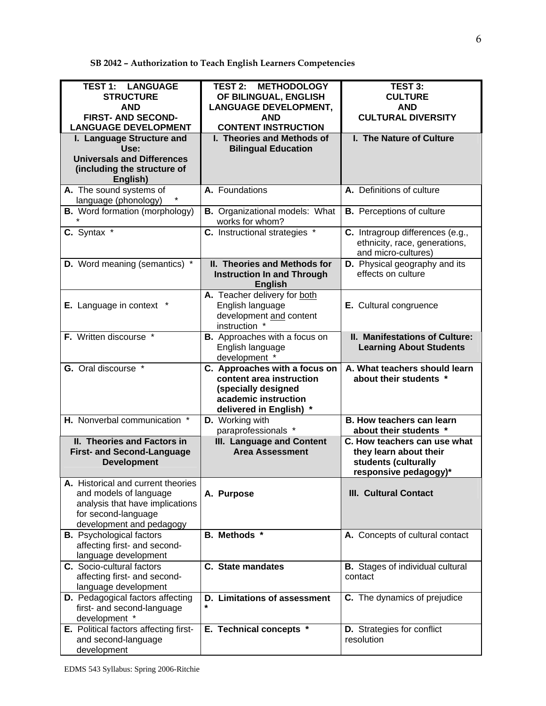**SB 2042 – Authorization to Teach English Learners Competencies**

| <b>TEST 1: LANGUAGE</b><br><b>STRUCTURE</b><br><b>AND</b><br><b>FIRST- AND SECOND-</b><br><b>LANGUAGE DEVELOPMENT</b>                              | <b>TEST 2: METHODOLOGY</b><br>OF BILINGUAL, ENGLISH<br><b>LANGUAGE DEVELOPMENT,</b><br><b>AND</b><br><b>CONTENT INSTRUCTION</b>   | TEST 3:<br><b>CULTURE</b><br><b>AND</b><br><b>CULTURAL DIVERSITY</b>                                    |
|----------------------------------------------------------------------------------------------------------------------------------------------------|-----------------------------------------------------------------------------------------------------------------------------------|---------------------------------------------------------------------------------------------------------|
| I. Language Structure and<br>Use:<br><b>Universals and Differences</b><br>(including the structure of<br>English)                                  | I. Theories and Methods of<br><b>Bilingual Education</b>                                                                          | I. The Nature of Culture                                                                                |
| A. The sound systems of<br>language (phonology)                                                                                                    | A. Foundations                                                                                                                    | A. Definitions of culture                                                                               |
| <b>B.</b> Word formation (morphology)                                                                                                              | <b>B.</b> Organizational models: What<br>works for whom?                                                                          | <b>B.</b> Perceptions of culture                                                                        |
| C. Syntax *                                                                                                                                        | <b>C.</b> Instructional strategies *                                                                                              | C. Intragroup differences (e.g.,<br>ethnicity, race, generations,<br>and micro-cultures)                |
| D. Word meaning (semantics) *                                                                                                                      | II. Theories and Methods for<br><b>Instruction In and Through</b><br><b>English</b>                                               | D. Physical geography and its<br>effects on culture                                                     |
| <b>E.</b> Language in context                                                                                                                      | A. Teacher delivery for both<br>English language<br>development and content<br>instruction *                                      | E. Cultural congruence                                                                                  |
| F. Written discourse *                                                                                                                             | <b>B.</b> Approaches with a focus on<br>English language<br>development *                                                         | II. Manifestations of Culture:<br><b>Learning About Students</b>                                        |
| <b>G.</b> Oral discourse *                                                                                                                         | C. Approaches with a focus on<br>content area instruction<br>(specially designed<br>academic instruction<br>delivered in English) | A. What teachers should learn<br>about their students *                                                 |
| H. Nonverbal communication *                                                                                                                       | D. Working with<br>paraprofessionals *                                                                                            | <b>B. How teachers can learn</b><br>about their students *                                              |
| II. Theories and Factors in<br><b>First- and Second-Language</b><br><b>Development</b>                                                             | <b>III. Language and Content</b><br><b>Area Assessment</b>                                                                        | C. How teachers can use what<br>they learn about their<br>students (culturally<br>responsive pedagogy)* |
| A. Historical and current theories<br>and models of language<br>analysis that have implications<br>for second-language<br>development and pedagogy | A. Purpose                                                                                                                        | <b>III. Cultural Contact</b>                                                                            |
| <b>B.</b> Psychological factors<br>affecting first- and second-<br>language development                                                            | B. Methods *                                                                                                                      | A. Concepts of cultural contact                                                                         |
| <b>C.</b> Socio-cultural factors<br>affecting first- and second-<br>language development                                                           | C. State mandates                                                                                                                 | <b>B.</b> Stages of individual cultural<br>contact                                                      |
| D. Pedagogical factors affecting<br>first- and second-language<br>development *                                                                    | D. Limitations of assessment                                                                                                      | C. The dynamics of prejudice                                                                            |
| E. Political factors affecting first-<br>and second-language<br>development                                                                        | E. Technical concepts *                                                                                                           | <b>D.</b> Strategies for conflict<br>resolution                                                         |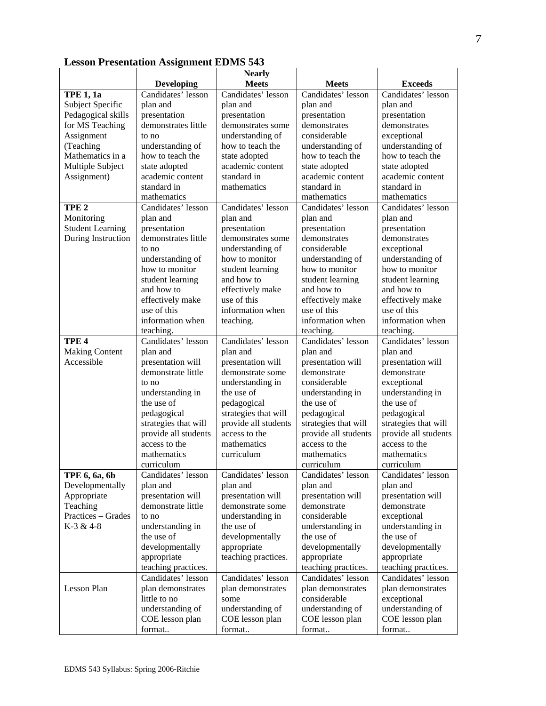|                         |                                         | <b>Nearly</b>                         |                                  |                                       |
|-------------------------|-----------------------------------------|---------------------------------------|----------------------------------|---------------------------------------|
|                         | <b>Developing</b>                       | <b>Meets</b>                          | <b>Meets</b>                     | <b>Exceeds</b>                        |
| TPE $1, 1a$             | Candidates' lesson                      | Candidates' lesson                    | Candidates' lesson               | Candidates' lesson                    |
| Subject Specific        | plan and                                | plan and                              | plan and                         | plan and                              |
| Pedagogical skills      | presentation                            | presentation                          | presentation                     | presentation                          |
| for MS Teaching         | demonstrates little                     | demonstrates some                     | demonstrates                     | demonstrates                          |
| Assignment              | to no                                   | understanding of                      | considerable                     | exceptional                           |
| (Teaching               | understanding of                        | how to teach the                      | understanding of                 | understanding of                      |
| Mathematics in a        | how to teach the                        | state adopted                         | how to teach the                 | how to teach the                      |
| Multiple Subject        | state adopted                           | academic content                      | state adopted                    | state adopted                         |
| Assignment)             | academic content                        | standard in                           | academic content                 | academic content                      |
|                         | standard in                             | mathematics                           | standard in                      | standard in                           |
|                         | mathematics                             |                                       | mathematics                      | mathematics                           |
| TPE <sub>2</sub>        | Candidates' lesson                      | Candidates' lesson                    | Candidates' lesson               | Candidates' lesson                    |
| Monitoring              | plan and                                | plan and                              | plan and                         | plan and                              |
| <b>Student Learning</b> | presentation                            | presentation                          | presentation                     | presentation                          |
| During Instruction      | demonstrates little                     | demonstrates some                     | demonstrates                     | demonstrates                          |
|                         | to no                                   | understanding of                      | considerable                     | exceptional                           |
|                         | understanding of                        | how to monitor                        | understanding of                 | understanding of                      |
|                         | how to monitor                          | student learning                      | how to monitor                   | how to monitor                        |
|                         | student learning                        | and how to                            | student learning                 | student learning                      |
|                         | and how to                              | effectively make                      | and how to                       | and how to                            |
|                         | effectively make                        | use of this                           | effectively make                 | effectively make                      |
|                         | use of this                             | information when                      | use of this                      | use of this                           |
|                         | information when                        | teaching.                             | information when                 | information when                      |
|                         | teaching.                               |                                       | teaching.                        | teaching.                             |
| TPE <sub>4</sub>        | Candidates' lesson                      | Candidates' lesson                    | Candidates' lesson               | Candidates' lesson                    |
| <b>Making Content</b>   | plan and                                | plan and                              | plan and                         | plan and                              |
| Accessible              | presentation will                       | presentation will                     | presentation will                | presentation will                     |
|                         | demonstrate little                      | demonstrate some                      | demonstrate                      | demonstrate                           |
|                         | to no                                   | understanding in                      | considerable                     | exceptional                           |
|                         | understanding in                        | the use of                            | understanding in                 | understanding in                      |
|                         | the use of                              | pedagogical                           | the use of                       | the use of                            |
|                         | pedagogical                             | strategies that will                  | pedagogical                      | pedagogical                           |
|                         | strategies that will                    | provide all students                  | strategies that will             | strategies that will                  |
|                         | provide all students                    | access to the<br>mathematics          | provide all students             | provide all students<br>access to the |
|                         | access to the                           |                                       | access to the                    |                                       |
|                         | mathematics                             | curriculum                            | mathematics                      | mathematics                           |
|                         | curriculum                              |                                       | curriculum                       | curriculum                            |
| TPE 6, 6a, 6b           | Candidates' lesson                      | Candidates' lesson                    | Candidates' lesson               | Candidates' lesson                    |
| Developmentally         | plan and                                | plan and                              | plan and                         | plan and                              |
| Appropriate<br>Teaching | presentation will<br>demonstrate little | presentation will<br>demonstrate some | presentation will<br>demonstrate | presentation will<br>demonstrate      |
| Practices - Grades      |                                         |                                       | considerable                     |                                       |
| K-3 & 4-8               | to no                                   | understanding in<br>the use of        |                                  | exceptional                           |
|                         | understanding in<br>the use of          | developmentally                       | understanding in<br>the use of   | understanding in<br>the use of        |
|                         | developmentally                         | appropriate                           | developmentally                  | developmentally                       |
|                         | appropriate                             | teaching practices.                   | appropriate                      | appropriate                           |
|                         | teaching practices.                     |                                       | teaching practices.              | teaching practices.                   |
|                         | Candidates' lesson                      | Candidates' lesson                    | Candidates' lesson               | Candidates' lesson                    |
| Lesson Plan             | plan demonstrates                       | plan demonstrates                     | plan demonstrates                | plan demonstrates                     |
|                         | little to no                            | some                                  | considerable                     | exceptional                           |
|                         | understanding of                        | understanding of                      | understanding of                 | understanding of                      |
|                         | COE lesson plan                         | COE lesson plan                       | COE lesson plan                  | COE lesson plan                       |
|                         | format                                  | format                                | format                           | format                                |
|                         |                                         |                                       |                                  |                                       |

# **Lesson Presentation Assignment EDMS 543**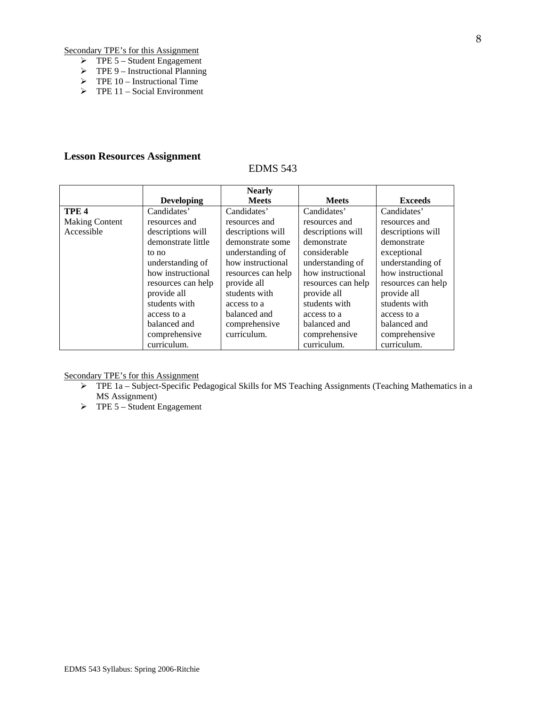Secondary TPE's for this Assignment

- $\triangleright$  TPE 5 Student Engagement
- $\triangleright$  TPE 9 Instructional Planning
- $\triangleright$  TPE 10 Instructional Time
- $\triangleright$  TPE 11 Social Environment

## **Lesson Resources Assignment**

## EDMS 543

|                       |                    | <b>Nearly</b>      |                    |                    |
|-----------------------|--------------------|--------------------|--------------------|--------------------|
|                       | <b>Developing</b>  | <b>Meets</b>       | <b>Meets</b>       | <b>Exceeds</b>     |
| TPE <sub>4</sub>      | Candidates'        | Candidates'        | Candidates'        | Candidates'        |
| <b>Making Content</b> | resources and      | resources and      | resources and      | resources and      |
| Accessible            | descriptions will  | descriptions will  | descriptions will  | descriptions will  |
|                       | demonstrate little | demonstrate some   | demonstrate        | demonstrate        |
|                       | to no              | understanding of   | considerable       | exceptional        |
|                       | understanding of   | how instructional  | understanding of   | understanding of   |
|                       | how instructional  | resources can help | how instructional  | how instructional  |
|                       | resources can help | provide all        | resources can help | resources can help |
|                       | provide all        | students with      | provide all        | provide all        |
|                       | students with      | access to a        | students with      | students with      |
|                       | access to a        | balanced and       | access to a        | access to a        |
|                       | balanced and       | comprehensive      | balanced and       | balanced and       |
|                       | comprehensive      | curriculum.        | comprehensive      | comprehensive      |
|                       | curriculum.        |                    | curriculum.        | curriculum.        |

Secondary TPE's for this Assignment

- ¾ TPE 1a Subject-Specific Pedagogical Skills for MS Teaching Assignments (Teaching Mathematics in a MS Assignment)
- $\triangleright$  TPE 5 Student Engagement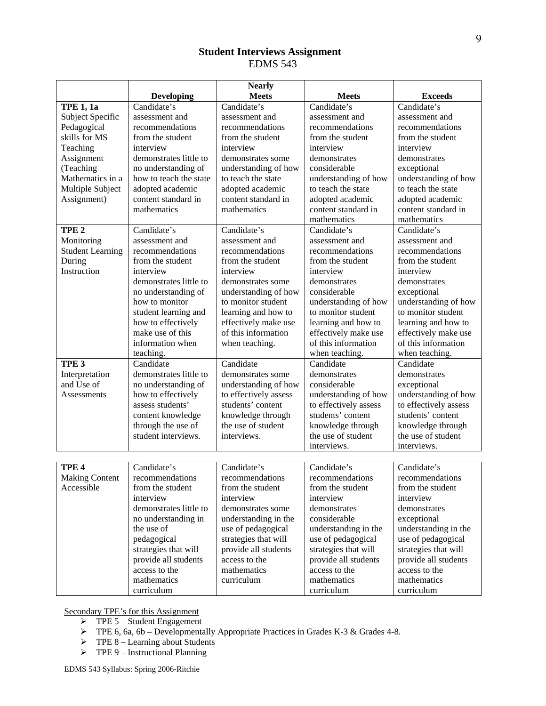# **Student Interviews Assignment**  EDMS 543

| <b>Developing</b><br><b>Meets</b><br>Candidate's<br>Candidate's<br>Candidate's<br>Candidate's<br><b>TPE 1, 1a</b><br>Subject Specific<br>assessment and<br>assessment and<br>assessment and<br>assessment and<br>Pedagogical<br>recommendations<br>recommendations<br>recommendations<br>recommendations<br>skills for MS<br>from the student<br>from the student<br>from the student<br>from the student<br>interview<br>interview<br>interview<br>interview<br>Teaching<br>demonstrates little to<br>Assignment<br>demonstrates<br>demonstrates<br>demonstrates some<br>(Teaching<br>no understanding of<br>understanding of how<br>considerable<br>exceptional<br>Mathematics in a<br>how to teach the state<br>understanding of how<br>to teach the state<br>understanding of how<br>Multiple Subject<br>adopted academic<br>adopted academic<br>to teach the state<br>to teach the state<br>Assignment)<br>content standard in<br>content standard in<br>adopted academic<br>adopted academic<br>mathematics<br>mathematics<br>content standard in<br>content standard in<br>mathematics<br>mathematics<br>Candidate's<br>Candidate's<br>Candidate's<br>Candidate's<br>TPE <sub>2</sub><br>Monitoring<br>assessment and<br>assessment and<br>assessment and<br>assessment and<br><b>Student Learning</b><br>recommendations<br>recommendations<br>recommendations<br>recommendations<br>During<br>from the student<br>from the student<br>from the student<br>from the student<br>Instruction<br>interview<br>interview<br>interview<br>interview<br>demonstrates little to<br>demonstrates some<br>demonstrates<br>demonstrates<br>understanding of how<br>considerable<br>no understanding of<br>exceptional<br>understanding of how<br>understanding of how<br>how to monitor<br>to monitor student<br>learning and how to<br>to monitor student<br>to monitor student<br>student learning and<br>effectively make use<br>learning and how to<br>learning and how to<br>how to effectively<br>make use of this<br>of this information<br>effectively make use<br>effectively make use<br>information when<br>of this information<br>of this information<br>when teaching. |           | <b>Nearly</b> |                |                |
|-----------------------------------------------------------------------------------------------------------------------------------------------------------------------------------------------------------------------------------------------------------------------------------------------------------------------------------------------------------------------------------------------------------------------------------------------------------------------------------------------------------------------------------------------------------------------------------------------------------------------------------------------------------------------------------------------------------------------------------------------------------------------------------------------------------------------------------------------------------------------------------------------------------------------------------------------------------------------------------------------------------------------------------------------------------------------------------------------------------------------------------------------------------------------------------------------------------------------------------------------------------------------------------------------------------------------------------------------------------------------------------------------------------------------------------------------------------------------------------------------------------------------------------------------------------------------------------------------------------------------------------------------------------------------------------------------------------------------------------------------------------------------------------------------------------------------------------------------------------------------------------------------------------------------------------------------------------------------------------------------------------------------------------------------------------------------------------------------------------------------------------------------------------------------------------|-----------|---------------|----------------|----------------|
|                                                                                                                                                                                                                                                                                                                                                                                                                                                                                                                                                                                                                                                                                                                                                                                                                                                                                                                                                                                                                                                                                                                                                                                                                                                                                                                                                                                                                                                                                                                                                                                                                                                                                                                                                                                                                                                                                                                                                                                                                                                                                                                                                                                   |           | <b>Meets</b>  |                | <b>Exceeds</b> |
|                                                                                                                                                                                                                                                                                                                                                                                                                                                                                                                                                                                                                                                                                                                                                                                                                                                                                                                                                                                                                                                                                                                                                                                                                                                                                                                                                                                                                                                                                                                                                                                                                                                                                                                                                                                                                                                                                                                                                                                                                                                                                                                                                                                   |           |               |                |                |
|                                                                                                                                                                                                                                                                                                                                                                                                                                                                                                                                                                                                                                                                                                                                                                                                                                                                                                                                                                                                                                                                                                                                                                                                                                                                                                                                                                                                                                                                                                                                                                                                                                                                                                                                                                                                                                                                                                                                                                                                                                                                                                                                                                                   |           |               |                |                |
|                                                                                                                                                                                                                                                                                                                                                                                                                                                                                                                                                                                                                                                                                                                                                                                                                                                                                                                                                                                                                                                                                                                                                                                                                                                                                                                                                                                                                                                                                                                                                                                                                                                                                                                                                                                                                                                                                                                                                                                                                                                                                                                                                                                   |           |               |                |                |
|                                                                                                                                                                                                                                                                                                                                                                                                                                                                                                                                                                                                                                                                                                                                                                                                                                                                                                                                                                                                                                                                                                                                                                                                                                                                                                                                                                                                                                                                                                                                                                                                                                                                                                                                                                                                                                                                                                                                                                                                                                                                                                                                                                                   |           |               |                |                |
|                                                                                                                                                                                                                                                                                                                                                                                                                                                                                                                                                                                                                                                                                                                                                                                                                                                                                                                                                                                                                                                                                                                                                                                                                                                                                                                                                                                                                                                                                                                                                                                                                                                                                                                                                                                                                                                                                                                                                                                                                                                                                                                                                                                   |           |               |                |                |
|                                                                                                                                                                                                                                                                                                                                                                                                                                                                                                                                                                                                                                                                                                                                                                                                                                                                                                                                                                                                                                                                                                                                                                                                                                                                                                                                                                                                                                                                                                                                                                                                                                                                                                                                                                                                                                                                                                                                                                                                                                                                                                                                                                                   |           |               |                |                |
|                                                                                                                                                                                                                                                                                                                                                                                                                                                                                                                                                                                                                                                                                                                                                                                                                                                                                                                                                                                                                                                                                                                                                                                                                                                                                                                                                                                                                                                                                                                                                                                                                                                                                                                                                                                                                                                                                                                                                                                                                                                                                                                                                                                   |           |               |                |                |
|                                                                                                                                                                                                                                                                                                                                                                                                                                                                                                                                                                                                                                                                                                                                                                                                                                                                                                                                                                                                                                                                                                                                                                                                                                                                                                                                                                                                                                                                                                                                                                                                                                                                                                                                                                                                                                                                                                                                                                                                                                                                                                                                                                                   |           |               |                |                |
|                                                                                                                                                                                                                                                                                                                                                                                                                                                                                                                                                                                                                                                                                                                                                                                                                                                                                                                                                                                                                                                                                                                                                                                                                                                                                                                                                                                                                                                                                                                                                                                                                                                                                                                                                                                                                                                                                                                                                                                                                                                                                                                                                                                   |           |               |                |                |
|                                                                                                                                                                                                                                                                                                                                                                                                                                                                                                                                                                                                                                                                                                                                                                                                                                                                                                                                                                                                                                                                                                                                                                                                                                                                                                                                                                                                                                                                                                                                                                                                                                                                                                                                                                                                                                                                                                                                                                                                                                                                                                                                                                                   |           |               |                |                |
|                                                                                                                                                                                                                                                                                                                                                                                                                                                                                                                                                                                                                                                                                                                                                                                                                                                                                                                                                                                                                                                                                                                                                                                                                                                                                                                                                                                                                                                                                                                                                                                                                                                                                                                                                                                                                                                                                                                                                                                                                                                                                                                                                                                   |           |               |                |                |
|                                                                                                                                                                                                                                                                                                                                                                                                                                                                                                                                                                                                                                                                                                                                                                                                                                                                                                                                                                                                                                                                                                                                                                                                                                                                                                                                                                                                                                                                                                                                                                                                                                                                                                                                                                                                                                                                                                                                                                                                                                                                                                                                                                                   |           |               |                |                |
|                                                                                                                                                                                                                                                                                                                                                                                                                                                                                                                                                                                                                                                                                                                                                                                                                                                                                                                                                                                                                                                                                                                                                                                                                                                                                                                                                                                                                                                                                                                                                                                                                                                                                                                                                                                                                                                                                                                                                                                                                                                                                                                                                                                   |           |               |                |                |
|                                                                                                                                                                                                                                                                                                                                                                                                                                                                                                                                                                                                                                                                                                                                                                                                                                                                                                                                                                                                                                                                                                                                                                                                                                                                                                                                                                                                                                                                                                                                                                                                                                                                                                                                                                                                                                                                                                                                                                                                                                                                                                                                                                                   |           |               |                |                |
|                                                                                                                                                                                                                                                                                                                                                                                                                                                                                                                                                                                                                                                                                                                                                                                                                                                                                                                                                                                                                                                                                                                                                                                                                                                                                                                                                                                                                                                                                                                                                                                                                                                                                                                                                                                                                                                                                                                                                                                                                                                                                                                                                                                   |           |               |                |                |
|                                                                                                                                                                                                                                                                                                                                                                                                                                                                                                                                                                                                                                                                                                                                                                                                                                                                                                                                                                                                                                                                                                                                                                                                                                                                                                                                                                                                                                                                                                                                                                                                                                                                                                                                                                                                                                                                                                                                                                                                                                                                                                                                                                                   |           |               |                |                |
|                                                                                                                                                                                                                                                                                                                                                                                                                                                                                                                                                                                                                                                                                                                                                                                                                                                                                                                                                                                                                                                                                                                                                                                                                                                                                                                                                                                                                                                                                                                                                                                                                                                                                                                                                                                                                                                                                                                                                                                                                                                                                                                                                                                   |           |               |                |                |
|                                                                                                                                                                                                                                                                                                                                                                                                                                                                                                                                                                                                                                                                                                                                                                                                                                                                                                                                                                                                                                                                                                                                                                                                                                                                                                                                                                                                                                                                                                                                                                                                                                                                                                                                                                                                                                                                                                                                                                                                                                                                                                                                                                                   |           |               |                |                |
|                                                                                                                                                                                                                                                                                                                                                                                                                                                                                                                                                                                                                                                                                                                                                                                                                                                                                                                                                                                                                                                                                                                                                                                                                                                                                                                                                                                                                                                                                                                                                                                                                                                                                                                                                                                                                                                                                                                                                                                                                                                                                                                                                                                   |           |               |                |                |
|                                                                                                                                                                                                                                                                                                                                                                                                                                                                                                                                                                                                                                                                                                                                                                                                                                                                                                                                                                                                                                                                                                                                                                                                                                                                                                                                                                                                                                                                                                                                                                                                                                                                                                                                                                                                                                                                                                                                                                                                                                                                                                                                                                                   |           |               |                |                |
|                                                                                                                                                                                                                                                                                                                                                                                                                                                                                                                                                                                                                                                                                                                                                                                                                                                                                                                                                                                                                                                                                                                                                                                                                                                                                                                                                                                                                                                                                                                                                                                                                                                                                                                                                                                                                                                                                                                                                                                                                                                                                                                                                                                   |           |               |                |                |
|                                                                                                                                                                                                                                                                                                                                                                                                                                                                                                                                                                                                                                                                                                                                                                                                                                                                                                                                                                                                                                                                                                                                                                                                                                                                                                                                                                                                                                                                                                                                                                                                                                                                                                                                                                                                                                                                                                                                                                                                                                                                                                                                                                                   |           |               |                |                |
|                                                                                                                                                                                                                                                                                                                                                                                                                                                                                                                                                                                                                                                                                                                                                                                                                                                                                                                                                                                                                                                                                                                                                                                                                                                                                                                                                                                                                                                                                                                                                                                                                                                                                                                                                                                                                                                                                                                                                                                                                                                                                                                                                                                   |           |               |                |                |
|                                                                                                                                                                                                                                                                                                                                                                                                                                                                                                                                                                                                                                                                                                                                                                                                                                                                                                                                                                                                                                                                                                                                                                                                                                                                                                                                                                                                                                                                                                                                                                                                                                                                                                                                                                                                                                                                                                                                                                                                                                                                                                                                                                                   |           |               |                |                |
|                                                                                                                                                                                                                                                                                                                                                                                                                                                                                                                                                                                                                                                                                                                                                                                                                                                                                                                                                                                                                                                                                                                                                                                                                                                                                                                                                                                                                                                                                                                                                                                                                                                                                                                                                                                                                                                                                                                                                                                                                                                                                                                                                                                   | teaching. |               | when teaching. | when teaching. |
| Candidate<br>Candidate<br>TPE <sub>3</sub><br>Candidate<br>Candidate                                                                                                                                                                                                                                                                                                                                                                                                                                                                                                                                                                                                                                                                                                                                                                                                                                                                                                                                                                                                                                                                                                                                                                                                                                                                                                                                                                                                                                                                                                                                                                                                                                                                                                                                                                                                                                                                                                                                                                                                                                                                                                              |           |               |                |                |
| demonstrates little to<br>demonstrates some<br>Interpretation<br>demonstrates<br>demonstrates                                                                                                                                                                                                                                                                                                                                                                                                                                                                                                                                                                                                                                                                                                                                                                                                                                                                                                                                                                                                                                                                                                                                                                                                                                                                                                                                                                                                                                                                                                                                                                                                                                                                                                                                                                                                                                                                                                                                                                                                                                                                                     |           |               |                |                |
| and Use of<br>no understanding of<br>understanding of how<br>considerable<br>exceptional                                                                                                                                                                                                                                                                                                                                                                                                                                                                                                                                                                                                                                                                                                                                                                                                                                                                                                                                                                                                                                                                                                                                                                                                                                                                                                                                                                                                                                                                                                                                                                                                                                                                                                                                                                                                                                                                                                                                                                                                                                                                                          |           |               |                |                |
| understanding of how<br>how to effectively<br>to effectively assess<br>understanding of how<br>Assessments                                                                                                                                                                                                                                                                                                                                                                                                                                                                                                                                                                                                                                                                                                                                                                                                                                                                                                                                                                                                                                                                                                                                                                                                                                                                                                                                                                                                                                                                                                                                                                                                                                                                                                                                                                                                                                                                                                                                                                                                                                                                        |           |               |                |                |
| students' content<br>assess students'<br>to effectively assess<br>to effectively assess                                                                                                                                                                                                                                                                                                                                                                                                                                                                                                                                                                                                                                                                                                                                                                                                                                                                                                                                                                                                                                                                                                                                                                                                                                                                                                                                                                                                                                                                                                                                                                                                                                                                                                                                                                                                                                                                                                                                                                                                                                                                                           |           |               |                |                |
| students' content<br>students' content<br>knowledge through<br>content knowledge                                                                                                                                                                                                                                                                                                                                                                                                                                                                                                                                                                                                                                                                                                                                                                                                                                                                                                                                                                                                                                                                                                                                                                                                                                                                                                                                                                                                                                                                                                                                                                                                                                                                                                                                                                                                                                                                                                                                                                                                                                                                                                  |           |               |                |                |
| the use of student<br>through the use of<br>knowledge through<br>knowledge through                                                                                                                                                                                                                                                                                                                                                                                                                                                                                                                                                                                                                                                                                                                                                                                                                                                                                                                                                                                                                                                                                                                                                                                                                                                                                                                                                                                                                                                                                                                                                                                                                                                                                                                                                                                                                                                                                                                                                                                                                                                                                                |           |               |                |                |
| the use of student<br>the use of student<br>student interviews.<br>interviews.                                                                                                                                                                                                                                                                                                                                                                                                                                                                                                                                                                                                                                                                                                                                                                                                                                                                                                                                                                                                                                                                                                                                                                                                                                                                                                                                                                                                                                                                                                                                                                                                                                                                                                                                                                                                                                                                                                                                                                                                                                                                                                    |           |               |                |                |
| interviews.<br>interviews.                                                                                                                                                                                                                                                                                                                                                                                                                                                                                                                                                                                                                                                                                                                                                                                                                                                                                                                                                                                                                                                                                                                                                                                                                                                                                                                                                                                                                                                                                                                                                                                                                                                                                                                                                                                                                                                                                                                                                                                                                                                                                                                                                        |           |               |                |                |
|                                                                                                                                                                                                                                                                                                                                                                                                                                                                                                                                                                                                                                                                                                                                                                                                                                                                                                                                                                                                                                                                                                                                                                                                                                                                                                                                                                                                                                                                                                                                                                                                                                                                                                                                                                                                                                                                                                                                                                                                                                                                                                                                                                                   |           |               |                |                |
| Candidate's<br>Candidate's<br>Candidate's<br>Candidate's<br>TPE <sub>4</sub>                                                                                                                                                                                                                                                                                                                                                                                                                                                                                                                                                                                                                                                                                                                                                                                                                                                                                                                                                                                                                                                                                                                                                                                                                                                                                                                                                                                                                                                                                                                                                                                                                                                                                                                                                                                                                                                                                                                                                                                                                                                                                                      |           |               |                |                |
| <b>Making Content</b><br>recommendations<br>recommendations<br>recommendations<br>recommendations                                                                                                                                                                                                                                                                                                                                                                                                                                                                                                                                                                                                                                                                                                                                                                                                                                                                                                                                                                                                                                                                                                                                                                                                                                                                                                                                                                                                                                                                                                                                                                                                                                                                                                                                                                                                                                                                                                                                                                                                                                                                                 |           |               |                |                |
| Accessible<br>from the student<br>from the student<br>from the student<br>from the student                                                                                                                                                                                                                                                                                                                                                                                                                                                                                                                                                                                                                                                                                                                                                                                                                                                                                                                                                                                                                                                                                                                                                                                                                                                                                                                                                                                                                                                                                                                                                                                                                                                                                                                                                                                                                                                                                                                                                                                                                                                                                        |           |               |                |                |
| interview<br>interview<br>interview<br>interview                                                                                                                                                                                                                                                                                                                                                                                                                                                                                                                                                                                                                                                                                                                                                                                                                                                                                                                                                                                                                                                                                                                                                                                                                                                                                                                                                                                                                                                                                                                                                                                                                                                                                                                                                                                                                                                                                                                                                                                                                                                                                                                                  |           |               |                |                |
| demonstrates little to<br>demonstrates<br>demonstrates<br>demonstrates some                                                                                                                                                                                                                                                                                                                                                                                                                                                                                                                                                                                                                                                                                                                                                                                                                                                                                                                                                                                                                                                                                                                                                                                                                                                                                                                                                                                                                                                                                                                                                                                                                                                                                                                                                                                                                                                                                                                                                                                                                                                                                                       |           |               |                |                |
| no understanding in<br>understanding in the<br>considerable<br>exceptional                                                                                                                                                                                                                                                                                                                                                                                                                                                                                                                                                                                                                                                                                                                                                                                                                                                                                                                                                                                                                                                                                                                                                                                                                                                                                                                                                                                                                                                                                                                                                                                                                                                                                                                                                                                                                                                                                                                                                                                                                                                                                                        |           |               |                |                |
| the use of<br>use of pedagogical<br>understanding in the<br>understanding in the                                                                                                                                                                                                                                                                                                                                                                                                                                                                                                                                                                                                                                                                                                                                                                                                                                                                                                                                                                                                                                                                                                                                                                                                                                                                                                                                                                                                                                                                                                                                                                                                                                                                                                                                                                                                                                                                                                                                                                                                                                                                                                  |           |               |                |                |
| pedagogical<br>strategies that will<br>use of pedagogical<br>use of pedagogical                                                                                                                                                                                                                                                                                                                                                                                                                                                                                                                                                                                                                                                                                                                                                                                                                                                                                                                                                                                                                                                                                                                                                                                                                                                                                                                                                                                                                                                                                                                                                                                                                                                                                                                                                                                                                                                                                                                                                                                                                                                                                                   |           |               |                |                |
| strategies that will<br>strategies that will<br>strategies that will<br>provide all students                                                                                                                                                                                                                                                                                                                                                                                                                                                                                                                                                                                                                                                                                                                                                                                                                                                                                                                                                                                                                                                                                                                                                                                                                                                                                                                                                                                                                                                                                                                                                                                                                                                                                                                                                                                                                                                                                                                                                                                                                                                                                      |           |               |                |                |
| provide all students<br>access to the<br>provide all students<br>provide all students                                                                                                                                                                                                                                                                                                                                                                                                                                                                                                                                                                                                                                                                                                                                                                                                                                                                                                                                                                                                                                                                                                                                                                                                                                                                                                                                                                                                                                                                                                                                                                                                                                                                                                                                                                                                                                                                                                                                                                                                                                                                                             |           |               |                |                |
| access to the<br>mathematics<br>access to the<br>access to the                                                                                                                                                                                                                                                                                                                                                                                                                                                                                                                                                                                                                                                                                                                                                                                                                                                                                                                                                                                                                                                                                                                                                                                                                                                                                                                                                                                                                                                                                                                                                                                                                                                                                                                                                                                                                                                                                                                                                                                                                                                                                                                    |           |               |                |                |
| mathematics<br>mathematics<br>mathematics<br>curriculum                                                                                                                                                                                                                                                                                                                                                                                                                                                                                                                                                                                                                                                                                                                                                                                                                                                                                                                                                                                                                                                                                                                                                                                                                                                                                                                                                                                                                                                                                                                                                                                                                                                                                                                                                                                                                                                                                                                                                                                                                                                                                                                           |           |               |                |                |
| curriculum<br>curriculum<br>curriculum                                                                                                                                                                                                                                                                                                                                                                                                                                                                                                                                                                                                                                                                                                                                                                                                                                                                                                                                                                                                                                                                                                                                                                                                                                                                                                                                                                                                                                                                                                                                                                                                                                                                                                                                                                                                                                                                                                                                                                                                                                                                                                                                            |           |               |                |                |

Secondary TPE's for this Assignment

- $\triangleright$  TPE 5 Student Engagement
- $\triangleright$  TPE 6, 6a, 6b Developmentally Appropriate Practices in Grades K-3 & Grades 4-8.
- $\triangleright$  TPE 8 Learning about Students
- $\triangleright$  TPE 9 Instructional Planning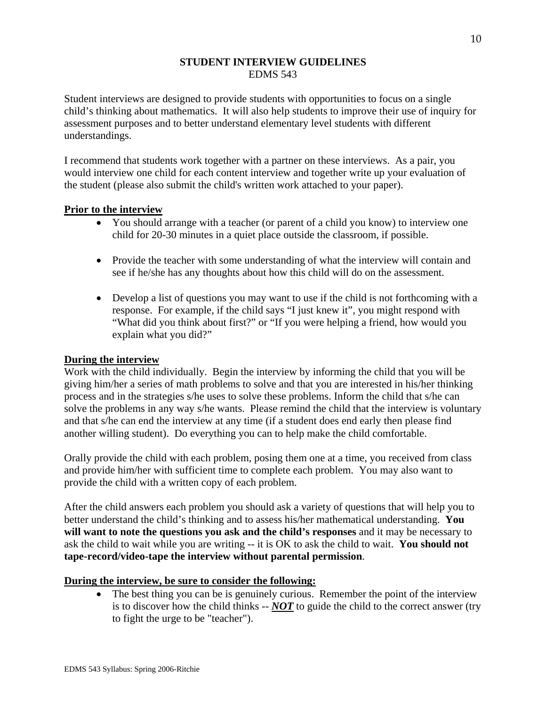# **STUDENT INTERVIEW GUIDELINES**  EDMS 543

Student interviews are designed to provide students with opportunities to focus on a single child's thinking about mathematics. It will also help students to improve their use of inquiry for assessment purposes and to better understand elementary level students with different understandings.

I recommend that students work together with a partner on these interviews. As a pair, you would interview one child for each content interview and together write up your evaluation of the student (please also submit the child's written work attached to your paper).

# **Prior to the interview**

- You should arrange with a teacher (or parent of a child you know) to interview one child for 20-30 minutes in a quiet place outside the classroom, if possible.
- Provide the teacher with some understanding of what the interview will contain and see if he/she has any thoughts about how this child will do on the assessment.
- Develop a list of questions you may want to use if the child is not forthcoming with a response. For example, if the child says "I just knew it", you might respond with "What did you think about first?" or "If you were helping a friend, how would you explain what you did?"

# **During the interview**

Work with the child individually. Begin the interview by informing the child that you will be giving him/her a series of math problems to solve and that you are interested in his/her thinking process and in the strategies s/he uses to solve these problems. Inform the child that s/he can solve the problems in any way s/he wants. Please remind the child that the interview is voluntary and that s/he can end the interview at any time (if a student does end early then please find another willing student). Do everything you can to help make the child comfortable.

Orally provide the child with each problem, posing them one at a time, you received from class and provide him/her with sufficient time to complete each problem. You may also want to provide the child with a written copy of each problem.

After the child answers each problem you should ask a variety of questions that will help you to better understand the child's thinking and to assess his/her mathematical understanding. **You will want to note the questions you ask and the child's responses** and it may be necessary to ask the child to wait while you are writing -- it is OK to ask the child to wait. **You should not tape-record/video-tape the interview without parental permission**.

# **During the interview, be sure to consider the following:**

• The best thing you can be is genuinely curious. Remember the point of the interview is to discover how the child thinks -- *NOT* to guide the child to the correct answer (try to fight the urge to be "teacher").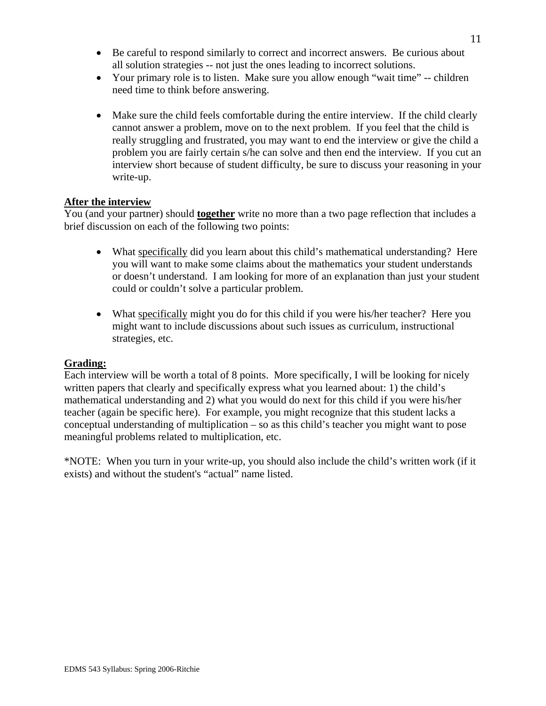- Be careful to respond similarly to correct and incorrect answers. Be curious about all solution strategies -- not just the ones leading to incorrect solutions.
- Your primary role is to listen. Make sure you allow enough "wait time" -- children need time to think before answering.
- Make sure the child feels comfortable during the entire interview. If the child clearly cannot answer a problem, move on to the next problem. If you feel that the child is really struggling and frustrated, you may want to end the interview or give the child a problem you are fairly certain s/he can solve and then end the interview. If you cut an interview short because of student difficulty, be sure to discuss your reasoning in your write-up.

# **After the interview**

You (and your partner) should **together** write no more than a two page reflection that includes a brief discussion on each of the following two points:

- What specifically did you learn about this child's mathematical understanding? Here you will want to make some claims about the mathematics your student understands or doesn't understand. I am looking for more of an explanation than just your student could or couldn't solve a particular problem.
- What specifically might you do for this child if you were his/her teacher? Here you might want to include discussions about such issues as curriculum, instructional strategies, etc.

# **Grading:**

Each interview will be worth a total of 8 points. More specifically, I will be looking for nicely written papers that clearly and specifically express what you learned about: 1) the child's mathematical understanding and 2) what you would do next for this child if you were his/her teacher (again be specific here). For example, you might recognize that this student lacks a conceptual understanding of multiplication – so as this child's teacher you might want to pose meaningful problems related to multiplication, etc.

\*NOTE: When you turn in your write-up, you should also include the child's written work (if it exists) and without the student's "actual" name listed.